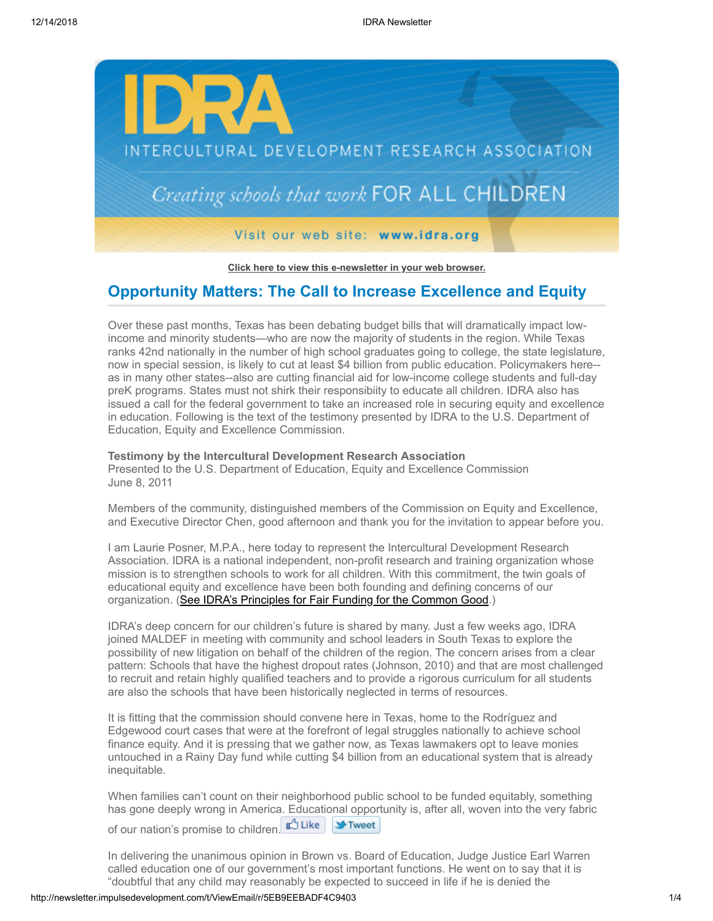

**[Click here to view this e-newsletter in your web browser.](http://newsletter.impulsedevelopment.com/t/r/e/jhtduhl/l/)**

# **Opportunity Matters: The Call to Increase Excellence and Equity**

Over these past months, Texas has been debating budget bills that will dramatically impact lowincome and minority students—who are now the majority of students in the region. While Texas ranks 42nd nationally in the number of high school graduates going to college, the state legislature, now in special session, is likely to cut at least \$4 billion from public education. Policymakers here- as in many other states--also are cutting financial aid for low-income college students and full-day preK programs. States must not shirk their responsibiity to educate all children. IDRA also has issued a call for the federal government to take an increased role in securing equity and excellence in education. Following is the text of the testimony presented by IDRA to the U.S. Department of Education, Equity and Excellence Commission.

### **Testimony by the Intercultural Development Research Association**

Presented to the U.S. Department of Education, Equity and Excellence Commission June 8, 2011

Members of the community, distinguished members of the Commission on Equity and Excellence, and Executive Director Chen, good afternoon and thank you for the invitation to appear before you.

I am Laurie Posner, M.P.A., here today to represent the Intercultural Development Research Association. IDRA is a national independent, non-profit research and training organization whose mission is to strengthen schools to work for all children. With this commitment, the twin goals of educational equity and excellence have been both founding and defining concerns of our organization. [\(See IDRA's Principles for Fair Funding for the Common Good.](http://newsletter.impulsedevelopment.com/t/r/l/jhtduhl/l/y/))

IDRA's deep concern for our children's future is shared by many. Just a few weeks ago, IDRA joined MALDEF in meeting with community and school leaders in South Texas to explore the possibility of new litigation on behalf of the children of the region. The concern arises from a clear pattern: Schools that have the highest dropout rates (Johnson, 2010) and that are most challenged to recruit and retain highly qualified teachers and to provide a rigorous curriculum for all students are also the schools that have been historically neglected in terms of resources.

It is fitting that the commission should convene here in Texas, home to the Rodríguez and Edgewood court cases that were at the forefront of legal struggles nationally to achieve school finance equity. And it is pressing that we gather now, as Texas lawmakers opt to leave monies untouched in a Rainy Day fund while cutting \$4 billion from an educational system that is already inequitable.

When families can't count on their neighborhood public school to be funded equitably, something has gone deeply wrong in America. Educational opportunity is, after all, woven into the very fabric of our nation's promise to children[.](http://newsletter.impulsedevelopment.com/t/r/fb/jhtduhl/l/z/?act=wv) Like

In delivering the unanimous opinion in Brown vs. Board of Education, Judge Justice Earl Warren called education one of our government's most important functions. He went on to say that it is "doubtful that any child may reasonably be expected to succeed in life if he is denied the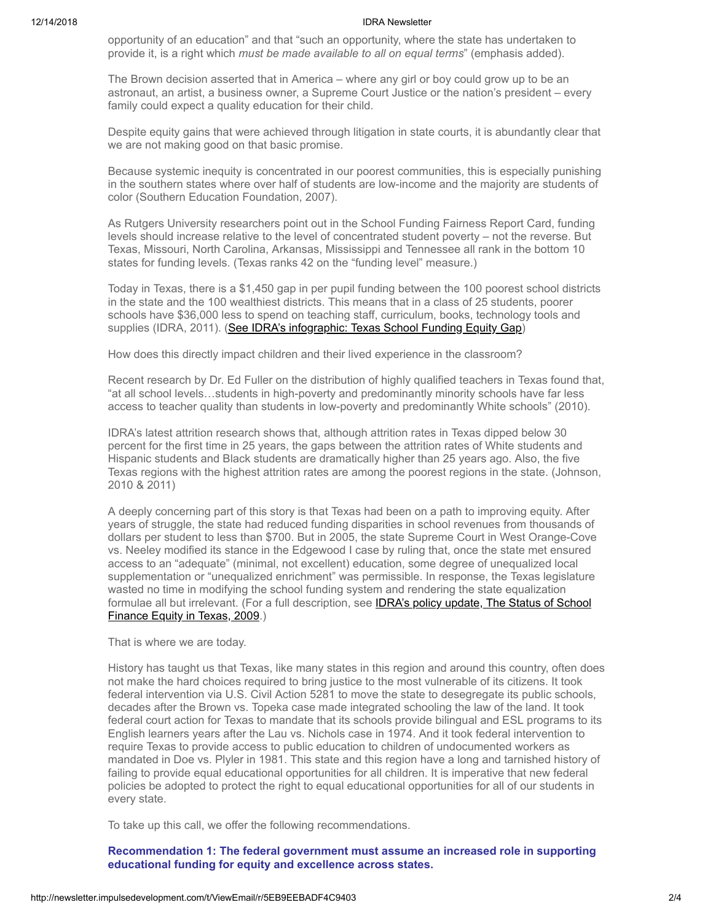#### 12/14/2018 IDRA Newsletter

opportunity of an education" and that "such an opportunity, where the state has undertaken to provide it, is a right which *must be made available to all on equal terms*" (emphasis added).

The Brown decision asserted that in America – where any girl or boy could grow up to be an astronaut, an artist, a business owner, a Supreme Court Justice or the nation's president – every family could expect a quality education for their child.

Despite equity gains that were achieved through litigation in state courts, it is abundantly clear that we are not making good on that basic promise.

Because systemic inequity is concentrated in our poorest communities, this is especially punishing in the southern states where over half of students are low-income and the majority are students of color (Southern Education Foundation, 2007).

As Rutgers University researchers point out in the School Funding Fairness Report Card, funding levels should increase relative to the level of concentrated student poverty – not the reverse. But Texas, Missouri, North Carolina, Arkansas, Mississippi and Tennessee all rank in the bottom 10 states for funding levels. (Texas ranks 42 on the "funding level" measure.)

Today in Texas, there is a \$1,450 gap in per pupil funding between the 100 poorest school districts in the state and the 100 wealthiest districts. This means that in a class of 25 students, poorer schools have \$36,000 less to spend on teaching staff, curriculum, books, technology tools and supplies (IDRA, 2011). [\(See IDRA's infographic: Texas School Funding Equity Gap](http://newsletter.impulsedevelopment.com/t/r/l/jhtduhl/l/j/))

How does this directly impact children and their lived experience in the classroom?

Recent research by Dr. Ed Fuller on the distribution of highly qualified teachers in Texas found that, "at all school levels…students in high-poverty and predominantly minority schools have far less access to teacher quality than students in low-poverty and predominantly White schools" (2010).

IDRA's latest attrition research shows that, although attrition rates in Texas dipped below 30 percent for the first time in 25 years, the gaps between the attrition rates of White students and Hispanic students and Black students are dramatically higher than 25 years ago. Also, the five Texas regions with the highest attrition rates are among the poorest regions in the state. (Johnson, 2010 & 2011)

A deeply concerning part of this story is that Texas had been on a path to improving equity. After years of struggle, the state had reduced funding disparities in school revenues from thousands of dollars per student to less than \$700. But in 2005, the state Supreme Court in West Orange-Cove vs. Neeley modified its stance in the Edgewood I case by ruling that, once the state met ensured access to an "adequate" (minimal, not excellent) education, some degree of unequalized local supplementation or "unequalized enrichment" was permissible. In response, the Texas legislature wasted no time in modifying the school funding system and rendering the state equalization formulae all but irrelevant. (For a full description, see **IDRA's policy update, The Status of School** Finance Equity in Texas, 2009.)

That is where we are today.

History has taught us that Texas, like many states in this region and around this country, often does not make the hard choices required to bring justice to the most vulnerable of its citizens. It took federal intervention via U.S. Civil Action 5281 to move the state to desegregate its public schools, decades after the Brown vs. Topeka case made integrated schooling the law of the land. It took federal court action for Texas to mandate that its schools provide bilingual and ESL programs to its English learners years after the Lau vs. Nichols case in 1974. And it took federal intervention to require Texas to provide access to public education to children of undocumented workers as mandated in Doe vs. Plyler in 1981. This state and this region have a long and tarnished history of failing to provide equal educational opportunities for all children. It is imperative that new federal policies be adopted to protect the right to equal educational opportunities for all of our students in every state.

To take up this call, we offer the following recommendations.

**Recommendation 1: The federal government must assume an increased role in supporting educational funding for equity and excellence across states.**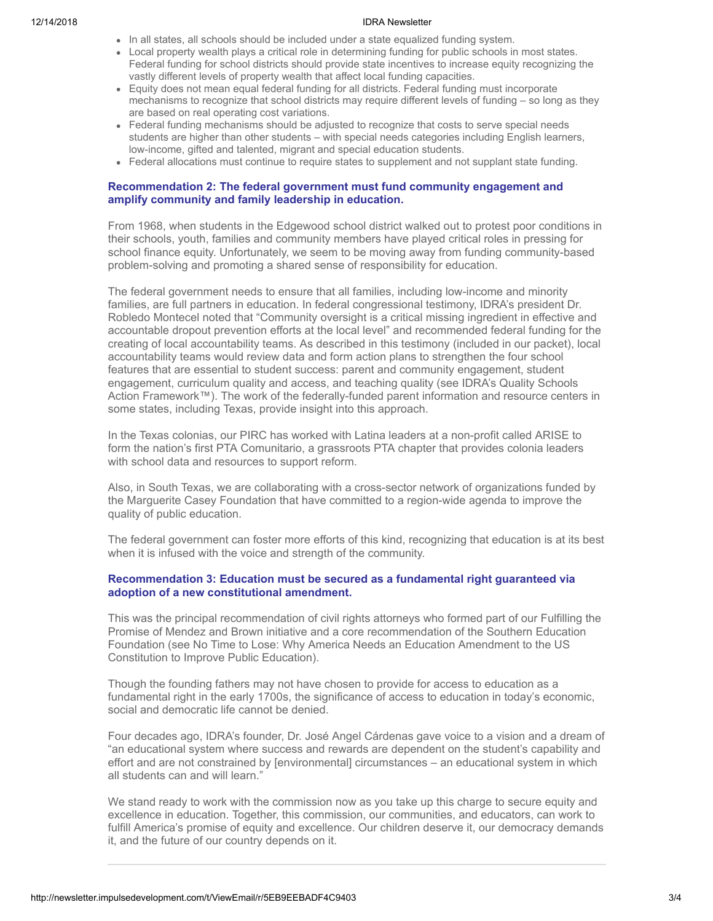#### 12/14/2018 IDRA Newsletter

- In all states, all schools should be included under a state equalized funding system.
- Local property wealth plays a critical role in determining funding for public schools in most states. Federal funding for school districts should provide state incentives to increase equity recognizing the vastly different levels of property wealth that affect local funding capacities.
- Equity does not mean equal federal funding for all districts. Federal funding must incorporate mechanisms to recognize that school districts may require different levels of funding – so long as they are based on real operating cost variations.
- Federal funding mechanisms should be adjusted to recognize that costs to serve special needs students are higher than other students – with special needs categories including English learners, low-income, gifted and talented, migrant and special education students.
- Federal allocations must continue to require states to supplement and not supplant state funding.

### **Recommendation 2: The federal government must fund community engagement and amplify community and family leadership in education.**

From 1968, when students in the Edgewood school district walked out to protest poor conditions in their schools, youth, families and community members have played critical roles in pressing for school finance equity. Unfortunately, we seem to be moving away from funding community-based problem-solving and promoting a shared sense of responsibility for education.

The federal government needs to ensure that all families, including low-income and minority families, are full partners in education. In federal congressional testimony, IDRA's president Dr. Robledo Montecel noted that "Community oversight is a critical missing ingredient in effective and accountable dropout prevention efforts at the local level" and recommended federal funding for the creating of local accountability teams. As described in this testimony (included in our packet), local accountability teams would review data and form action plans to strengthen the four school features that are essential to student success: parent and community engagement, student engagement, curriculum quality and access, and teaching quality (see IDRA's Quality Schools Action Framework™). The work of the federally-funded parent information and resource centers in some states, including Texas, provide insight into this approach.

In the Texas colonias, our PIRC has worked with Latina leaders at a non-profit called ARISE to form the nation's first PTA Comunitario, a grassroots PTA chapter that provides colonia leaders with school data and resources to support reform.

Also, in South Texas, we are collaborating with a cross-sector network of organizations funded by the Marguerite Casey Foundation that have committed to a region-wide agenda to improve the quality of public education.

The federal government can foster more efforts of this kind, recognizing that education is at its best when it is infused with the voice and strength of the community.

## **Recommendation 3: Education must be secured as a fundamental right guaranteed via adoption of a new constitutional amendment.**

This was the principal recommendation of civil rights attorneys who formed part of our Fulfilling the Promise of Mendez and Brown initiative and a core recommendation of the Southern Education Foundation (see No Time to Lose: Why America Needs an Education Amendment to the US Constitution to Improve Public Education).

Though the founding fathers may not have chosen to provide for access to education as a fundamental right in the early 1700s, the significance of access to education in today's economic, social and democratic life cannot be denied.

Four decades ago, IDRA's founder, Dr. José Angel Cárdenas gave voice to a vision and a dream of "an educational system where success and rewards are dependent on the student's capability and effort and are not constrained by [environmental] circumstances – an educational system in which all students can and will learn."

We stand ready to work with the commission now as you take up this charge to secure equity and excellence in education. Together, this commission, our communities, and educators, can work to fulfill America's promise of equity and excellence. Our children deserve it, our democracy demands it, and the future of our country depends on it.